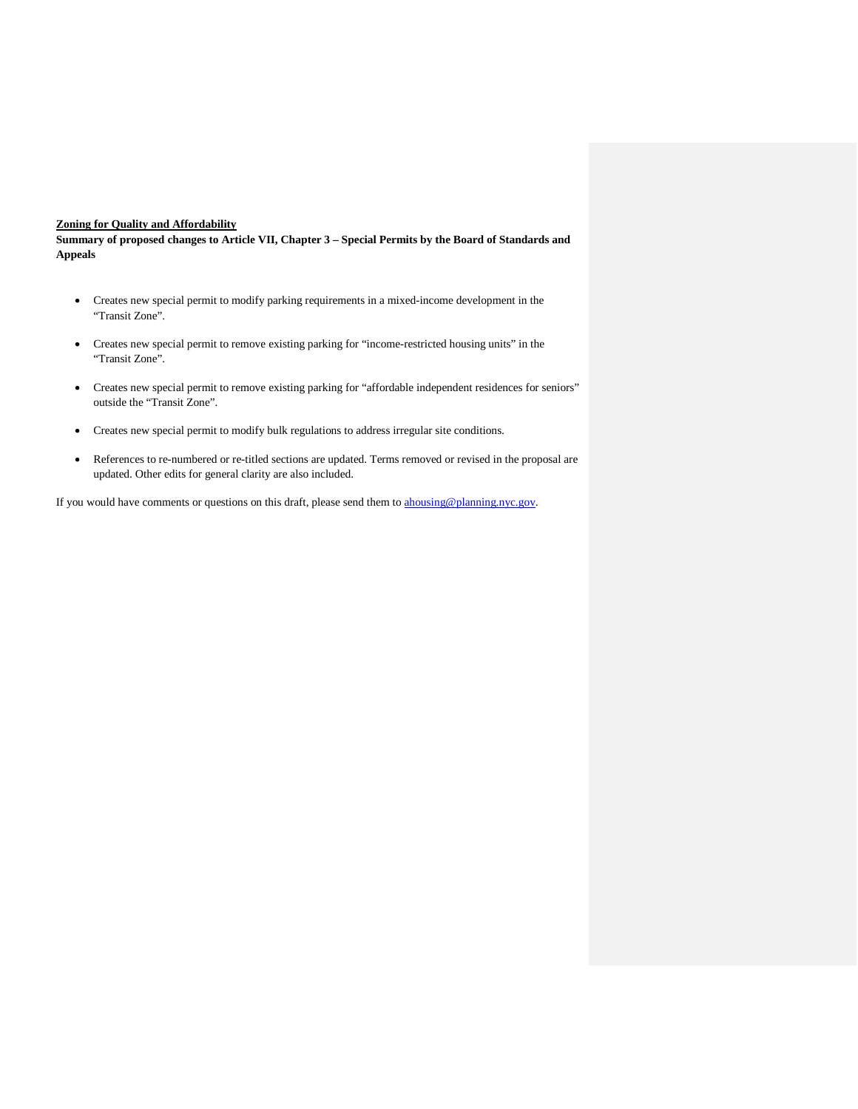## **Zoning for Quality and Affordability**

**Summary of proposed changes to Article VII, Chapter 3 – Special Permits by the Board of Standards and Appeals**

- Creates new special permit to modify parking requirements in a mixed-income development in the "Transit Zone".
- Creates new special permit to remove existing parking for "income-restricted housing units" in the "Transit Zone".
- Creates new special permit to remove existing parking for "affordable independent residences for seniors" outside the "Transit Zone".
- Creates new special permit to modify bulk regulations to address irregular site conditions.
- References to re-numbered or re-titled sections are updated. Terms removed or revised in the proposal are updated. Other edits for general clarity are also included.

If you would have comments or questions on this draft, please send them to [ahousing@planning.nyc.gov.](mailto:ahousing@planning.nyc.gov)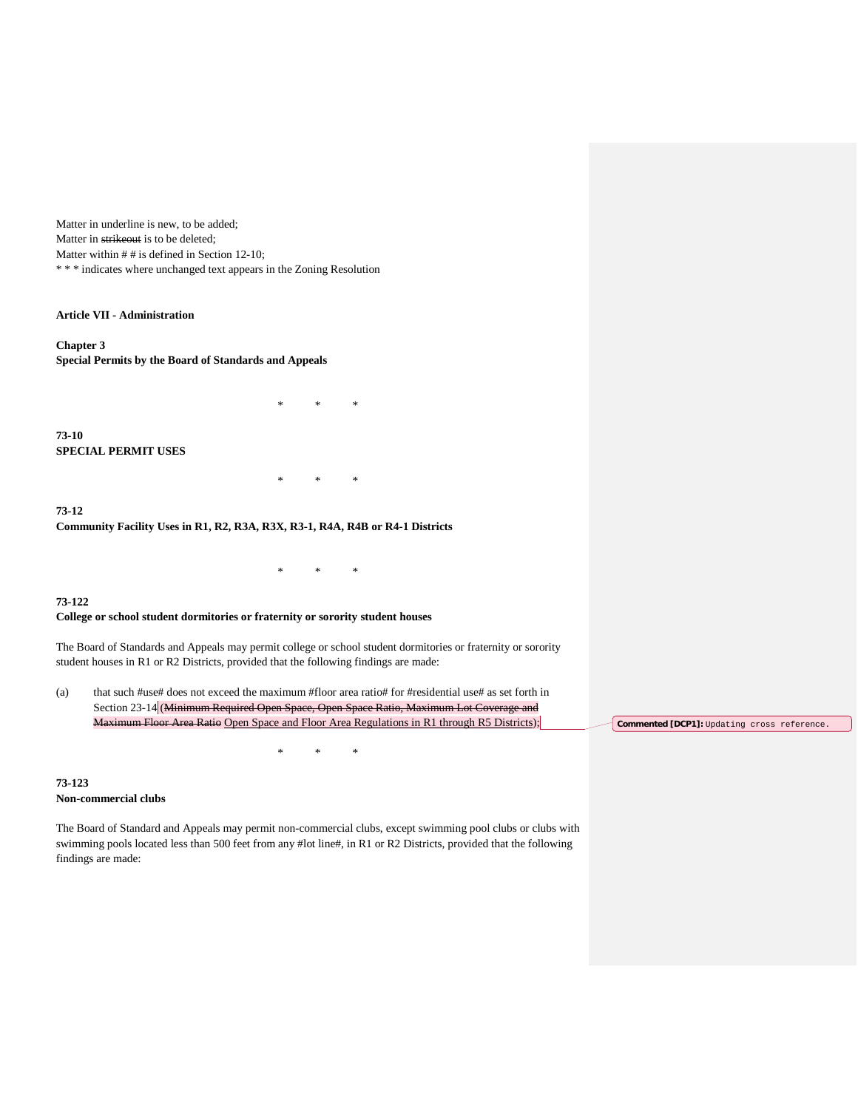Matter in underline is new, to be added; Matter in strikeout is to be deleted; Matter within  $#$  # is defined in Section 12-10; \* \* \* indicates where unchanged text appears in the Zoning Resolution

### **Article VII - Administration**

**Chapter 3 Special Permits by the Board of Standards and Appeals**

**73-10 SPECIAL PERMIT USES**

**73-12 Community Facility Uses in R1, R2, R3A, R3X, R3-1, R4A, R4B or R4-1 Districts**

#### **73-122**

#### **College or school student dormitories or fraternity or sorority student houses**

The Board of Standards and Appeals may permit college or school student dormitories or fraternity or sorority student houses in R1 or R2 Districts, provided that the following findings are made:

\* \* \*

\* \* \*

\* \* \*

(a) that such #use# does not exceed the maximum #floor area ratio# for #residential use# as set forth in Section 23-14 (Minimum Required Open Space, Open Space Ratio, Maximum Lot Coverage and Maximum Floor Area Ratio Open Space and Floor Area Regulations in R1 through R5 Districts);

\* \* \*

**Commented [DCP1]:** Updating cross reference.

### **73-123 Non-commercial clubs**

The Board of Standard and Appeals may permit non-commercial clubs, except swimming pool clubs or clubs with swimming pools located less than 500 feet from any #lot line#, in R1 or R2 Districts, provided that the following findings are made: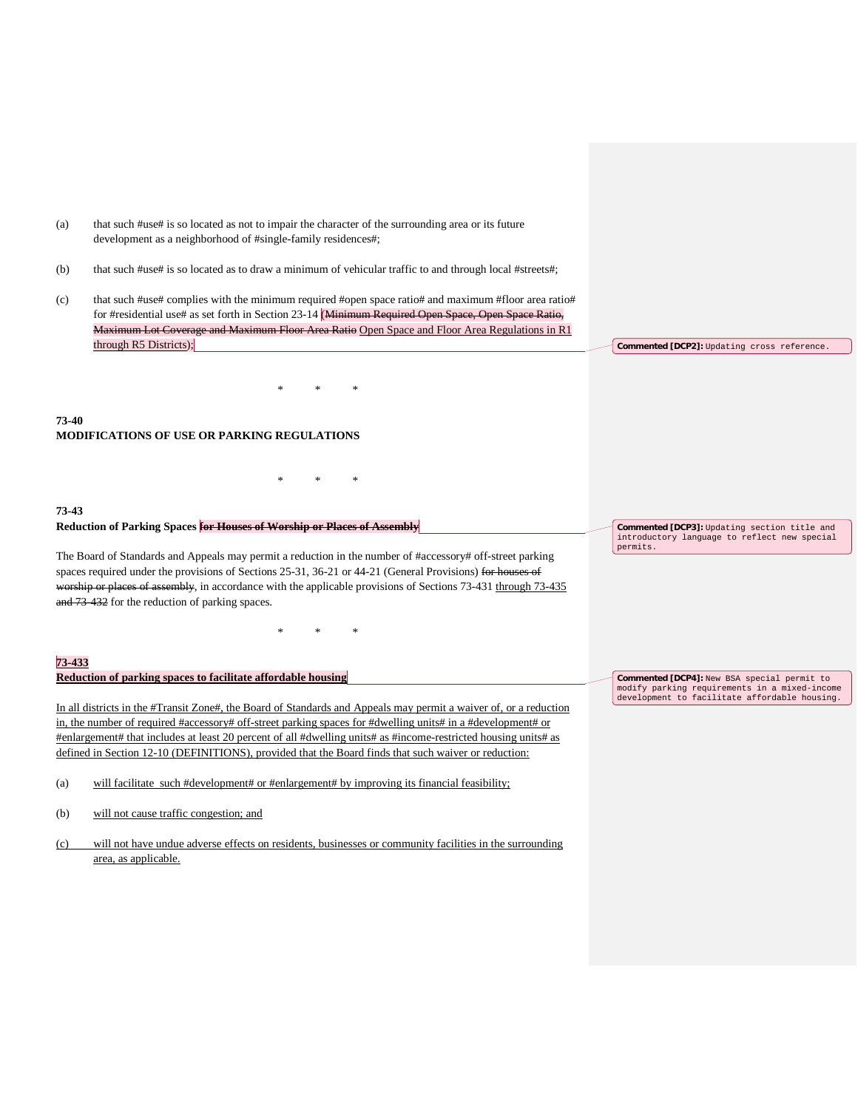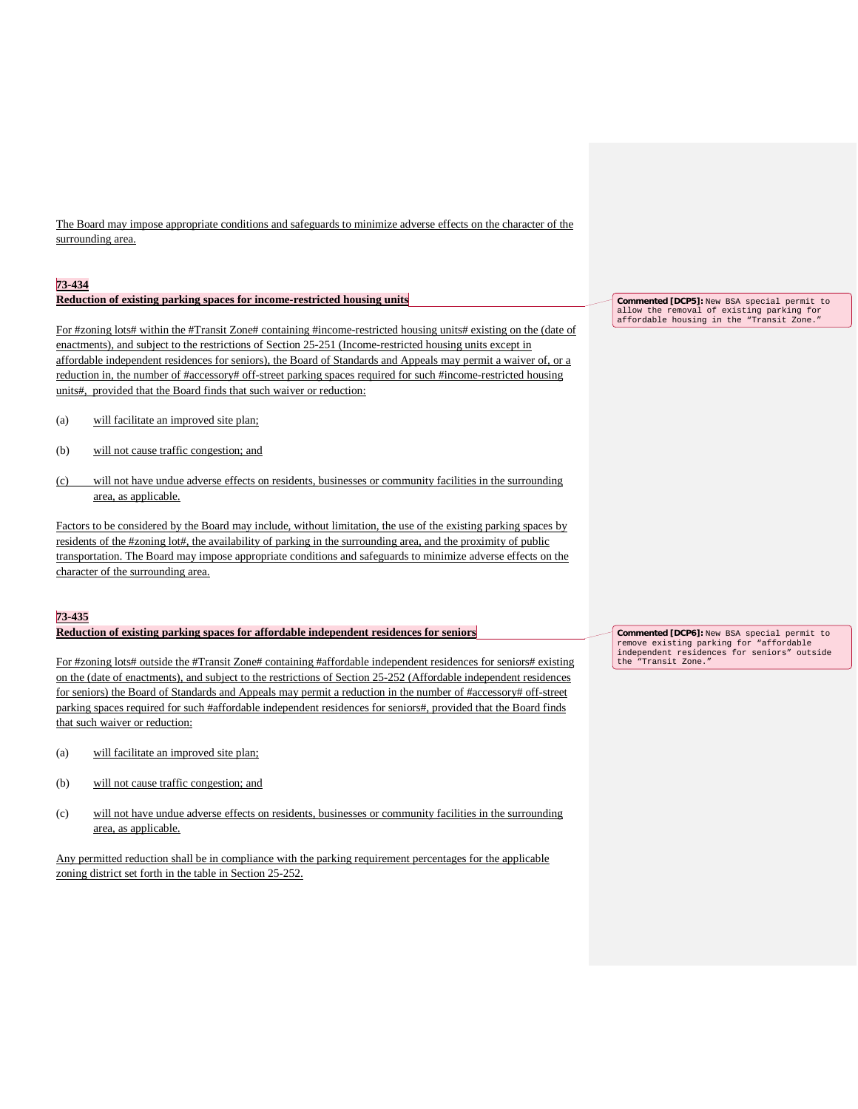The Board may impose appropriate conditions and safeguards to minimize adverse effects on the character of the surrounding area.

#### **73-434**

### **Reduction of existing parking spaces for income-restricted housing units**

For #zoning lots# within the #Transit Zone# containing #income-restricted housing units# existing on the (date of enactments), and subject to the restrictions of Section 25-251 (Income-restricted housing units except in affordable independent residences for seniors), the Board of Standards and Appeals may permit a waiver of, or a reduction in, the number of #accessory# off-street parking spaces required for such #income-restricted housing units#, provided that the Board finds that such waiver or reduction:

- (a) will facilitate an improved site plan;
- (b) will not cause traffic congestion; and
- (c) will not have undue adverse effects on residents, businesses or community facilities in the surrounding area, as applicable.

Factors to be considered by the Board may include, without limitation, the use of the existing parking spaces by residents of the #zoning lot#, the availability of parking in the surrounding area, and the proximity of public transportation. The Board may impose appropriate conditions and safeguards to minimize adverse effects on the character of the surrounding area.

#### **73-435**

#### **Reduction of existing parking spaces for affordable independent residences for seniors**

For #zoning lots# outside the #Transit Zone# containing #affordable independent residences for seniors# existing on the (date of enactments), and subject to the restrictions of Section 25-252 (Affordable independent residences for seniors) the Board of Standards and Appeals may permit a reduction in the number of #accessory# off-street parking spaces required for such #affordable independent residences for seniors#, provided that the Board finds that such waiver or reduction:

- (a) will facilitate an improved site plan;
- (b) will not cause traffic congestion; and
- (c) will not have undue adverse effects on residents, businesses or community facilities in the surrounding area, as applicable.

Any permitted reduction shall be in compliance with the parking requirement percentages for the applicable zoning district set forth in the table in Section 25-252.

**Commented [DCP5]:** New BSA special permit to allow the removal of existing parking for affordable housing in the "Transit Zone."

**Commented [DCP6]:** New BSA special permit to remove existing parking for "affordable independent residences for seniors" outside the "Transit Zone."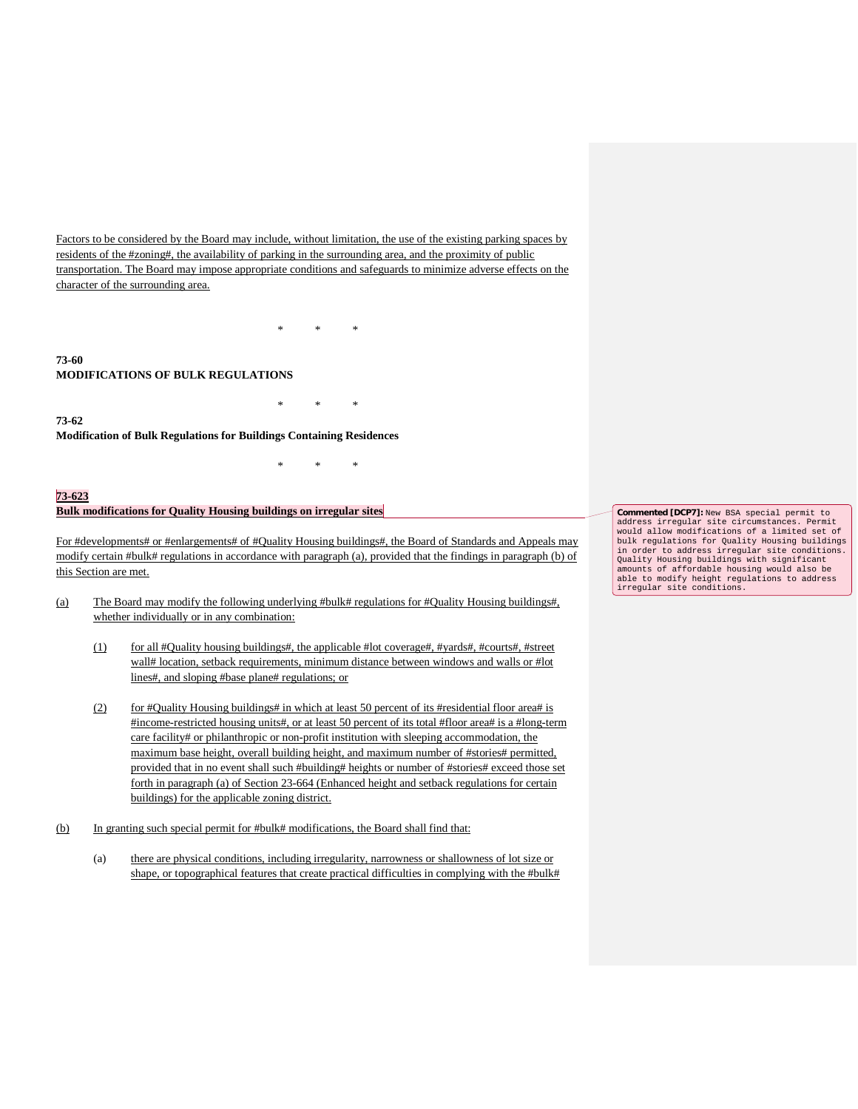Factors to be considered by the Board may include, without limitation, the use of the existing parking spaces by residents of the #zoning#, the availability of parking in the surrounding area, and the proximity of public transportation. The Board may impose appropriate conditions and safeguards to minimize adverse effects on the character of the surrounding area.

\* \* \*

\* \* \*

\* \* \*

# **73-60 MODIFICATIONS OF BULK REGULATIONS**

**73-62**

**Modification of Bulk Regulations for Buildings Containing Residences**

#### **73-623**

## **Bulk modifications for Quality Housing buildings on irregular sites**

For #developments# or #enlargements# of #Quality Housing buildings#, the Board of Standards and Appeals may modify certain #bulk# regulations in accordance with paragraph (a), provided that the findings in paragraph (b) of this Section are met.

- (a) The Board may modify the following underlying #bulk# regulations for #Quality Housing buildings#, whether individually or in any combination:
	- (1) for all #Quality housing buildings#, the applicable #lot coverage#, #yards#, #courts#, #street wall# location, setback requirements, minimum distance between windows and walls or #lot lines#, and sloping #base plane# regulations; or
	- (2) for #Quality Housing buildings# in which at least 50 percent of its #residential floor area# is #income-restricted housing units#, or at least 50 percent of its total #floor area# is a #long-term care facility# or philanthropic or non-profit institution with sleeping accommodation, the maximum base height, overall building height, and maximum number of #stories# permitted, provided that in no event shall such #building# heights or number of #stories# exceed those set forth in paragraph (a) of Section 23-664 (Enhanced height and setback regulations for certain buildings) for the applicable zoning district.
- (b) In granting such special permit for #bulk# modifications, the Board shall find that:
	- (a) there are physical conditions, including irregularity, narrowness or shallowness of lot size or shape, or topographical features that create practical difficulties in complying with the #bulk#

**Commented [DCP7]:** New BSA special permit to address irregular site circumstances. Permit would allow modifications of a limited set of bulk regulations for Quality Housing buildings in order to address irregular site conditions. Quality Housing buildings with significant amounts of affordable housing would also be able to modify height regulations to address irregular site conditions.